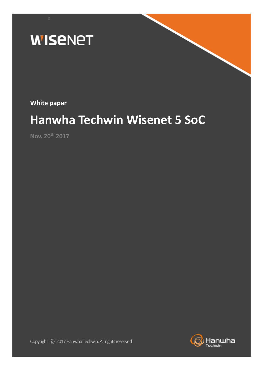

**White paper**

# **Hanwha Techwin Wisenet 5 SoC**

**Nov. 20th 2017**

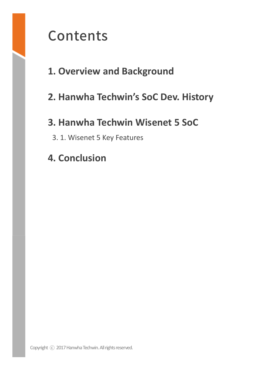# Contents

# **1. Overview and Background**

# **2. Hanwha Techwin's SoC Dev. History**

# **3. Hanwha Techwin Wisenet 5 SoC**

- 3. 1. Wisenet 5 Key Features
- **4. Conclusion**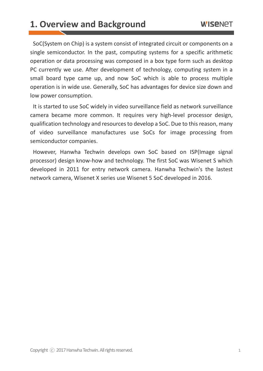#### **1. Overview and Background**

SoC(System on Chip) is a system consist of integrated circuit or components on a single semiconductor. In the past, computing systems for a specific arithmetic operation or data processing was composed in a box type form such as desktop PC currently we use. After development of technology, computing system in a small board type came up, and now SoC which is able to process multiple operation is in wide use. Generally, SoC has advantages for device size down and low power consumption.

It is started to use SoC widely in video surveillance field as network surveillance camera became more common. It requires very high-level processor design, qualification technology and resources to develop a SoC. Due to this reason, many of video surveillance manufactures use SoCs for image processing from semiconductor companies.

However, Hanwha Techwin develops own SoC based on ISP(Image signal processor) design know-how and technology. The first SoC was Wisenet S which developed in 2011 for entry network camera. Hanwha Techwin's the lastest network camera, Wisenet X series use Wisenet 5 SoC developed in 2016.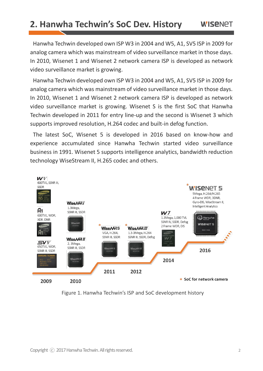### **2. Hanwha Techwin's SoC Dev. History**

Hanwha Techwin developed own ISP W3 in 2004 and W5, A1, SV5 ISP in 2009 for analog camera which was mainstream of video surveillance market in those days. In 2010, Wisenet 1 and Wisenet 2 network camera ISP is developed as network video surveillance market is growing.

Hanwha Techwin developed own ISP W3 in 2004 and W5, A1, SV5 ISP in 2009 for analog camera which was mainstream of video surveillance market in those days. In 2010, Wisenet 1 and Wisenet 2 network camera ISP is developed as network video surveillance market is growing. Wisenet S is the first SoC that Hanwha Techwin developed in 2011 for entry line-up and the second is Wisenet 3 which supports improved resolution, H.264 codec and built-in defog function.

The latest SoC, Wisenet 5 is developed in 2016 based on know-how and experience accumulated since Hanwha Techwin started video surveillance business in 1991. Wisenet 5 supports intelligence analytics, bandwidth reduction technology WiseStream II, H.265 codec and others.



Figure 1. Hanwha Techwin's ISP and SoC development history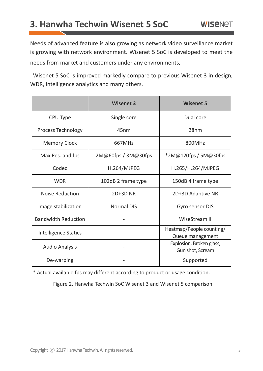### **3. Hanwha Techwin Wisenet 5 SoC**

Needs of advanced feature is also growing as network video surveillance market is growing with network environment. Wisenet 5 SoC is developed to meet the needs from market and customers under any environments

Wisenet 5 SoC is improved markedly compare to previous Wisenet 3 in design, WDR, intelligence analytics and many others.

|                             | <b>Wisenet 3</b>    | <b>Wisenet 5</b>                             |
|-----------------------------|---------------------|----------------------------------------------|
| CPU Type                    | Single core         | Dual core                                    |
| Process Technology          | 45 <sub>nm</sub>    | 28nm                                         |
| <b>Memory Clock</b>         | 667MHz              | 800MHz                                       |
| Max Res. and fps            | 2M@60fps / 3M@30fps | *2M@120fps / 5M@30fps                        |
| Codec                       | H.264/MJPEG         | H.265/H.264/MJPEG                            |
| <b>WDR</b>                  | 102dB 2 frame type  | 150dB 4 frame type                           |
| <b>Noise Reduction</b>      | <b>2D+3D NR</b>     | 2D+3D Adaptive NR                            |
| Image stabilization         | <b>Normal DIS</b>   | Gyro sensor DIS                              |
| <b>Bandwidth Reduction</b>  |                     | WiseStream II                                |
| <b>Intelligence Statics</b> |                     | Heatmap/People counting/<br>Queue management |
| <b>Audio Analysis</b>       |                     | Explosion, Broken glass,<br>Gun shot, Scream |
| De-warping                  |                     | Supported                                    |

\* Actual available fps may different according to product or usage condition.

Figure 2. Hanwha Techwin SoC Wisenet 3 and Wisenet 5 comparison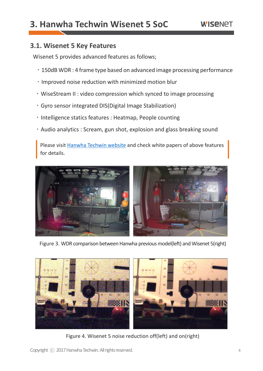### **3. Hanwha Techwin Wisenet 5 SoC**

#### **WISENET**

#### **3.1. Wisenet 5 Key Features**

Wisenet 5 provides advanced features as follows;

- 150dB WDR : 4 frame type based on advanced image processing performance
- $\cdot$  Improved noise reduction with minimized motion blur
- WiseStream II : video compression which synced to image processing
- Gyro sensor integrated DIS(Digital Image Stabilization)
- . Intelligence statics features : Heatmap, People counting
- Audio analytics : Scream, gun shot, explosion and glass breaking sound

 Please visit [Hanwha Techwin website](https://www.hanwha-security.com/support/gnrl/list.do?menuCd=MN000230) and check white papers of above features for details.



Figure 3. WDR comparison between Hanwha previous model(left) and Wisenet 5(right)



Figure 4. Wisenet 5 noise reduction off(left) and on(right)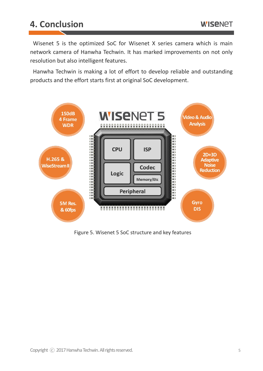## **4. Conclusion**

Wisenet 5 is the optimized SoC for Wisenet X series camera which is main network camera of Hanwha Techwin. It has marked improvements on not only resolution but also intelligent features.

Hanwha Techwin is making a lot of effort to develop reliable and outstanding products and the effort starts first at original SoC development.



Figure 5. Wisenet 5 SoC structure and key features